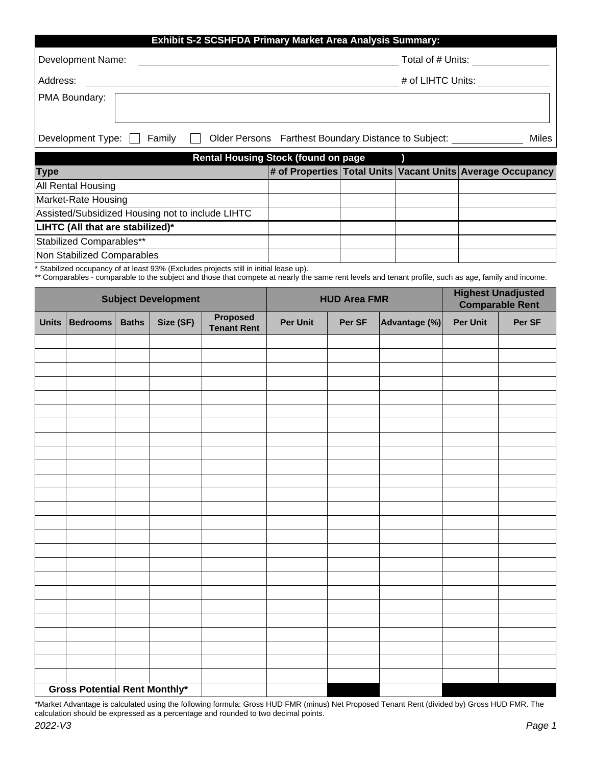| <b>Exhibit S-2 SCSHFDA Primary Market Area Analysis Summary:</b> |                                                      |       |  |  |  |  |  |
|------------------------------------------------------------------|------------------------------------------------------|-------|--|--|--|--|--|
| Development Name:                                                | Total of # Units:                                    |       |  |  |  |  |  |
| Address:                                                         | # of LIHTC Units:                                    |       |  |  |  |  |  |
| PMA Boundary:                                                    |                                                      |       |  |  |  |  |  |
| Development Type:<br>Family                                      | Older Persons Farthest Boundary Distance to Subject: | Miles |  |  |  |  |  |

| Rental Housing Stock (found on page              |  |  |  |                                                            |  |  |  |
|--------------------------------------------------|--|--|--|------------------------------------------------------------|--|--|--|
| <b>Type</b>                                      |  |  |  | # of Properties Total Units Vacant Units Average Occupancy |  |  |  |
| <b>All Rental Housing</b>                        |  |  |  |                                                            |  |  |  |
| Market-Rate Housing                              |  |  |  |                                                            |  |  |  |
| Assisted/Subsidized Housing not to include LIHTC |  |  |  |                                                            |  |  |  |
| LIHTC (All that are stabilized)*                 |  |  |  |                                                            |  |  |  |
| Stabilized Comparables**                         |  |  |  |                                                            |  |  |  |
| Non Stabilized Comparables                       |  |  |  |                                                            |  |  |  |

\* Stabilized occupancy of at least 93% (Excludes projects still in initial lease up).

\*\* Comparables - comparable to the subject and those that compete at nearly the same rent levels and tenant profile, such as age, family and income.

| <b>Subject Development</b>           |                 |              |           | <b>HUD Area FMR</b>            |                 |        | <b>Highest Unadjusted</b><br><b>Comparable Rent</b> |                 |        |
|--------------------------------------|-----------------|--------------|-----------|--------------------------------|-----------------|--------|-----------------------------------------------------|-----------------|--------|
| <b>Units</b>                         | <b>Bedrooms</b> | <b>Baths</b> | Size (SF) | Proposed<br><b>Tenant Rent</b> | <b>Per Unit</b> | Per SF | Advantage (%)                                       | <b>Per Unit</b> | Per SF |
|                                      |                 |              |           |                                |                 |        |                                                     |                 |        |
|                                      |                 |              |           |                                |                 |        |                                                     |                 |        |
|                                      |                 |              |           |                                |                 |        |                                                     |                 |        |
|                                      |                 |              |           |                                |                 |        |                                                     |                 |        |
|                                      |                 |              |           |                                |                 |        |                                                     |                 |        |
|                                      |                 |              |           |                                |                 |        |                                                     |                 |        |
|                                      |                 |              |           |                                |                 |        |                                                     |                 |        |
|                                      |                 |              |           |                                |                 |        |                                                     |                 |        |
|                                      |                 |              |           |                                |                 |        |                                                     |                 |        |
|                                      |                 |              |           |                                |                 |        |                                                     |                 |        |
|                                      |                 |              |           |                                |                 |        |                                                     |                 |        |
|                                      |                 |              |           |                                |                 |        |                                                     |                 |        |
|                                      |                 |              |           |                                |                 |        |                                                     |                 |        |
|                                      |                 |              |           |                                |                 |        |                                                     |                 |        |
|                                      |                 |              |           |                                |                 |        |                                                     |                 |        |
|                                      |                 |              |           |                                |                 |        |                                                     |                 |        |
|                                      |                 |              |           |                                |                 |        |                                                     |                 |        |
|                                      |                 |              |           |                                |                 |        |                                                     |                 |        |
|                                      |                 |              |           |                                |                 |        |                                                     |                 |        |
|                                      |                 |              |           |                                |                 |        |                                                     |                 |        |
|                                      |                 |              |           |                                |                 |        |                                                     |                 |        |
|                                      |                 |              |           |                                |                 |        |                                                     |                 |        |
|                                      |                 |              |           |                                |                 |        |                                                     |                 |        |
|                                      |                 |              |           |                                |                 |        |                                                     |                 |        |
|                                      |                 |              |           |                                |                 |        |                                                     |                 |        |
| <b>Gross Potential Rent Monthly*</b> |                 |              |           |                                |                 |        |                                                     |                 |        |

\*Market Advantage is calculated using the following formula: Gross HUD FMR (minus) Net Proposed Tenant Rent (divided by) Gross HUD FMR. The calculation should be expressed as a percentage and rounded to two decimal points.